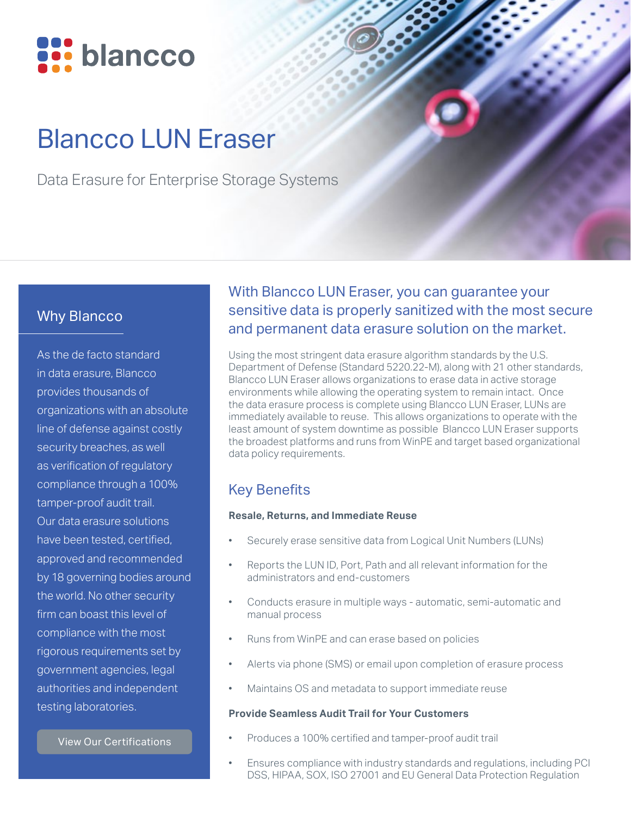

# Blancco LUN Eraser

Data Erasure for Enterprise Storage Systems

#### Why Blancco

As the de facto standard in data erasure, Blancco provides thousands of organizations with an absolute line of defense against costly security breaches, as well as verification of regulatory compliance through a 100% tamper-proof audit trail. Our data erasure solutions have been tested, certified, approved and recommended by 18 governing bodies around the world. No other security firm can boast this level of compliance with the most rigorous requirements set by government agencies, legal authorities and independent testing laboratories.

[View Our Certifications](https://www.blancco.com/wp-content/uploads/2016/06/certifications_fact_sheet_eng.pdf)

## With Blancco LUN Eraser, you can guarantee your sensitive data is properly sanitized with the most secure and permanent data erasure solution on the market.

Using the most stringent data erasure algorithm standards by the U.S. Department of Defense (Standard 5220.22-M), along with 21 other standards, Blancco LUN Eraser allows organizations to erase data in active storage environments while allowing the operating system to remain intact. Once the data erasure process is complete using Blancco LUN Eraser, LUNs are immediately available to reuse. This allows organizations to operate with the least amount of system downtime as possible Blancco LUN Eraser supports the broadest platforms and runs from WinPE and target based organizational data policy requirements.

## Key Benefits

#### **Resale, Returns, and Immediate Reuse**

- Securely erase sensitive data from Logical Unit Numbers (LUNs)
- Reports the LUN ID, Port, Path and all relevant information for the administrators and end-customers
- Conducts erasure in multiple ways automatic, semi-automatic and manual process
- Runs from WinPE and can erase based on policies
- Alerts via phone (SMS) or email upon completion of erasure process
- Maintains OS and metadata to support immediate reuse

#### **Provide Seamless Audit Trail for Your Customers**

- Produces a 100% certified and tamper-proof audit trail
- Ensures compliance with industry standards and regulations, including PCI DSS, HIPAA, SOX, ISO 27001 and EU General Data Protection Regulation